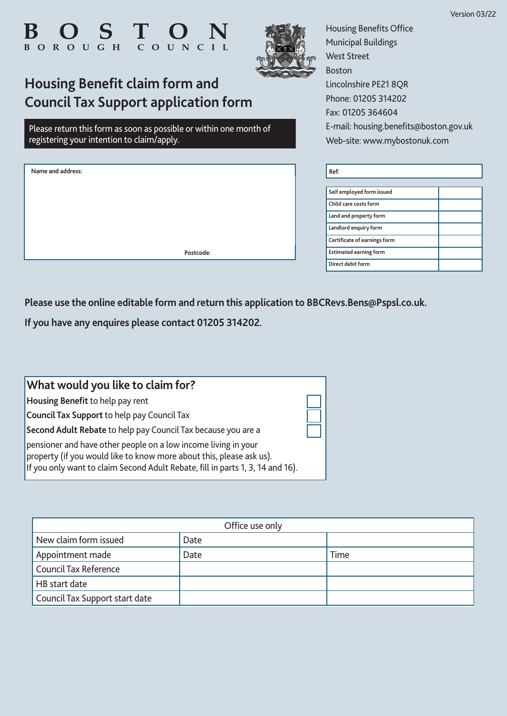

**Housing Benefit claim form and**

registering your intention to claim/apply.

**Name and address:**

**Council Tax Support application form**

Please return this form as soon as possible or within one month of



Housing Benefits Office Municipal Buildings West Street Boston Lincolnshire PE21 8QR Phone: 01205 314202 Fax: 01205 364604 E-mail: housing.benefits@boston.gov.uk Web-site: www.mybostonuk.com

| Ref:                          |  |
|-------------------------------|--|
|                               |  |
| Self employed form issued     |  |
| Child care costs form         |  |
| Land and property form        |  |
| Landlord enquiry form         |  |
| Certificate of earnings form  |  |
| <b>Estimated earning form</b> |  |
| Direct debit form             |  |
|                               |  |

**Please use the online editable form and return this application to BBCRevs.Bens@Pspsl.co.uk.** 

 **Postcode:**

**If you have any enquires please contact 01205 314202.**

| What would you like to claim for?                                                                                                                                                                                        |  |
|--------------------------------------------------------------------------------------------------------------------------------------------------------------------------------------------------------------------------|--|
| Housing Benefit to help pay rent                                                                                                                                                                                         |  |
| <b>Council Tax Support</b> to help pay Council Tax                                                                                                                                                                       |  |
| Second Adult Rebate to help pay Council Tax because you are a                                                                                                                                                            |  |
| pensioner and have other people on a low income living in your<br>property (if you would like to know more about this, please ask us).<br>If you only want to claim Second Adult Rebate, fill in parts 1, 3, 14 and 16). |  |

| Office use only                |      |      |
|--------------------------------|------|------|
| New claim form issued          | Date |      |
| Appointment made               | Date | Time |
| <b>Council Tax Reference</b>   |      |      |
| HB start date                  |      |      |
| Council Tax Support start date |      |      |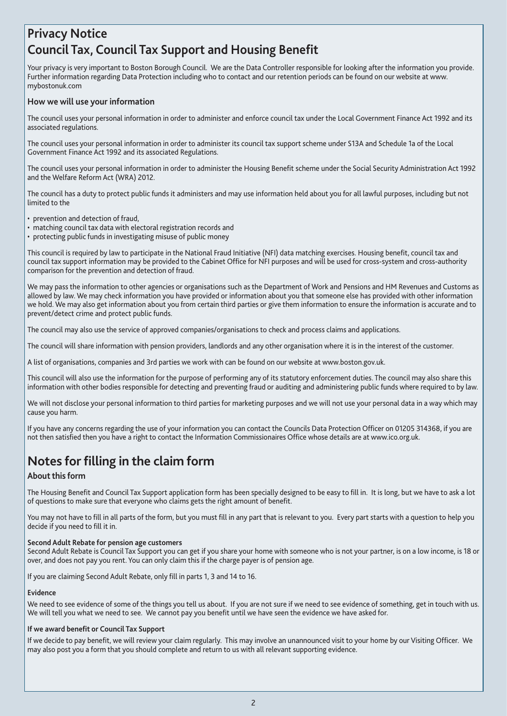### **Privacy Notice Council Tax, Council Tax Support and Housing Benefit**

Your privacy is very important to Boston Borough Council. We are the Data Controller responsible for looking after the information you provide. Further information regarding Data Protection including who to contact and our retention periods can be found on our website at www. mybostonuk.com

### **How we will use your information**

The council uses your personal information in order to administer and enforce council tax under the Local Government Finance Act 1992 and its associated regulations.

The council uses your personal information in order to administer its council tax support scheme under S13A and Schedule 1a of the Local Government Finance Act 1992 and its associated Regulations.

The council uses your personal information in order to administer the Housing Benefit scheme under the Social Security Administration Act 1992 and the Welfare Reform Act (WRA) 2012.

The council has a duty to protect public funds it administers and may use information held about you for all lawful purposes, including but not limited to the

- prevention and detection of fraud,
- matching council tax data with electoral registration records and
- protecting public funds in investigating misuse of public money

This council is required by law to participate in the National Fraud Initiative (NFI) data matching exercises. Housing benefit, council tax and council tax support information may be provided to the Cabinet Office for NFI purposes and will be used for cross-system and cross-authority comparison for the prevention and detection of fraud.

We may pass the information to other agencies or organisations such as the Department of Work and Pensions and HM Revenues and Customs as allowed by law. We may check information you have provided or information about you that someone else has provided with other information we hold. We may also get information about you from certain third parties or give them information to ensure the information is accurate and to prevent/detect crime and protect public funds.

The council may also use the service of approved companies/organisations to check and process claims and applications.

The council will share information with pension providers, landlords and any other organisation where it is in the interest of the customer.

A list of organisations, companies and 3rd parties we work with can be found on our website at www.boston.gov.uk.

This council will also use the information for the purpose of performing any of its statutory enforcement duties. The council may also share this information with other bodies responsible for detecting and preventing fraud or auditing and administering public funds where required to by law.

We will not disclose your personal information to third parties for marketing purposes and we will not use your personal data in a way which may cause you harm.

If you have any concerns regarding the use of your information you can contact the Councils Data Protection Officer on 01205 314368, if you are not then satisfied then you have a right to contact the Information Commissionaires Office whose details are at www.ico.org.uk.

### **Notes for filling in the claim form**

### **About this form**

The Housing Benefit and Council Tax Support application form has been specially designed to be easy to fill in. It is long, but we have to ask a lot of questions to make sure that everyone who claims gets the right amount of benefit.

You may not have to fill in all parts of the form, but you must fill in any part that is relevant to you. Every part starts with a question to help you decide if you need to fill it in.

#### **Second Adult Rebate for pension age customers**

Second Adult Rebate is Council Tax Support you can get if you share your home with someone who is not your partner, is on a low income, is 18 or over, and does not pay you rent. You can only claim this if the charge payer is of pension age.

If you are claiming Second Adult Rebate, only fill in parts 1, 3 and 14 to 16.

#### **Evidence**

We need to see evidence of some of the things you tell us about. If you are not sure if we need to see evidence of something, get in touch with us. We will tell you what we need to see. We cannot pay you benefit until we have seen the evidence we have asked for.

#### **If we award benefit or Council Tax Support**

If we decide to pay benefit, we will review your claim regularly. This may involve an unannounced visit to your home by our Visiting Officer. We may also post you a form that you should complete and return to us with all relevant supporting evidence.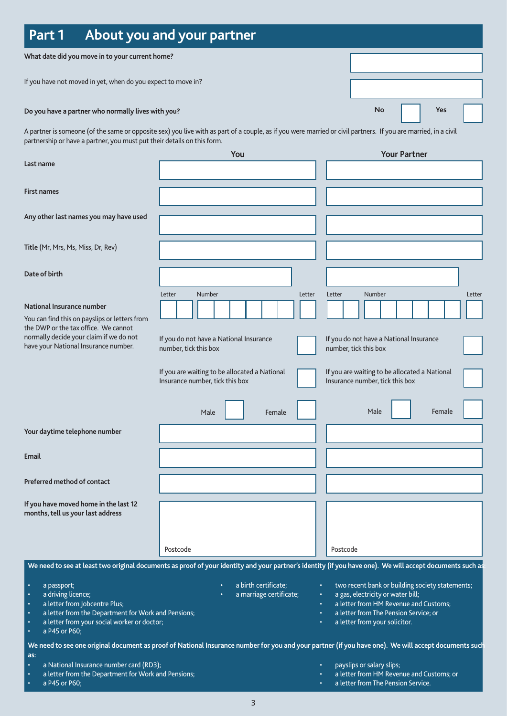| Part 1                                                                                                                                                                                                                                                  | About you and your partner                                                                                                                                     |                                                                                                                                                                                                         |
|---------------------------------------------------------------------------------------------------------------------------------------------------------------------------------------------------------------------------------------------------------|----------------------------------------------------------------------------------------------------------------------------------------------------------------|---------------------------------------------------------------------------------------------------------------------------------------------------------------------------------------------------------|
| What date did you move in to your current home?                                                                                                                                                                                                         |                                                                                                                                                                |                                                                                                                                                                                                         |
| If you have not moved in yet, when do you expect to move in?                                                                                                                                                                                            |                                                                                                                                                                |                                                                                                                                                                                                         |
| Do you have a partner who normally lives with you?                                                                                                                                                                                                      |                                                                                                                                                                | No<br>Yes                                                                                                                                                                                               |
| partnership or have a partner, you must put their details on this form.                                                                                                                                                                                 | A partner is someone (of the same or opposite sex) you live with as part of a couple, as if you were married or civil partners. If you are married, in a civil |                                                                                                                                                                                                         |
| Last name                                                                                                                                                                                                                                               | You                                                                                                                                                            | <b>Your Partner</b>                                                                                                                                                                                     |
| First names                                                                                                                                                                                                                                             |                                                                                                                                                                |                                                                                                                                                                                                         |
| Any other last names you may have used                                                                                                                                                                                                                  |                                                                                                                                                                |                                                                                                                                                                                                         |
| Title (Mr, Mrs, Ms, Miss, Dr, Rev)                                                                                                                                                                                                                      |                                                                                                                                                                |                                                                                                                                                                                                         |
| Date of birth                                                                                                                                                                                                                                           |                                                                                                                                                                |                                                                                                                                                                                                         |
| National Insurance number<br>You can find this on payslips or letters from<br>the DWP or the tax office. We cannot<br>normally decide your claim if we do not<br>have your National Insurance number.                                                   | Number<br>Letter<br>Letter<br>If you do not have a National Insurance<br>number, tick this box                                                                 | <b>Number</b><br>Letter<br>Letter<br>If you do not have a National Insurance<br>number, tick this box                                                                                                   |
|                                                                                                                                                                                                                                                         | If you are waiting to be allocated a National<br>Insurance number, tick this box                                                                               | If you are waiting to be allocated a National<br>Insurance number, tick this box                                                                                                                        |
|                                                                                                                                                                                                                                                         | Male<br>Female                                                                                                                                                 | Male<br>Female                                                                                                                                                                                          |
| Your daytime telephone number                                                                                                                                                                                                                           |                                                                                                                                                                |                                                                                                                                                                                                         |
| Email                                                                                                                                                                                                                                                   |                                                                                                                                                                |                                                                                                                                                                                                         |
| Preferred method of contact                                                                                                                                                                                                                             |                                                                                                                                                                |                                                                                                                                                                                                         |
| If you have moved home in the last 12<br>months, tell us your last address                                                                                                                                                                              |                                                                                                                                                                |                                                                                                                                                                                                         |
|                                                                                                                                                                                                                                                         | Postcode                                                                                                                                                       | Postcode                                                                                                                                                                                                |
|                                                                                                                                                                                                                                                         | We need to see at least two original documents as proof of your identity and your partner's identity (if you have one). We will accept documents such as       |                                                                                                                                                                                                         |
| a passport;<br>$\bullet$<br>a driving licence;<br>٠<br>a letter from Jobcentre Plus;<br>$\bullet$<br>a letter from the Department for Work and Pensions;<br>$\bullet$<br>a letter from your social worker or doctor;<br>٠<br>a P45 or P60;<br>$\bullet$ | a birth certificate;<br>$\bullet$<br>$\bullet$<br>a marriage certificate;<br>$\bullet$                                                                         | two recent bank or building society statements;<br>a gas, electricity or water bill;<br>a letter from HM Revenue and Customs;<br>a letter from The Pension Service; or<br>a letter from your solicitor. |
| as:<br>a National Insurance number card (RD3);<br>$\bullet$<br>a letter from the Department for Work and Pensions;<br>$\bullet$<br>a P45 or P60;                                                                                                        | We need to see one original document as proof of National Insurance number for you and your partner (if you have one). We will accept documents such           | payslips or salary slips;<br>a letter from HM Revenue and Customs; or<br>a letter from The Pension Service.                                                                                             |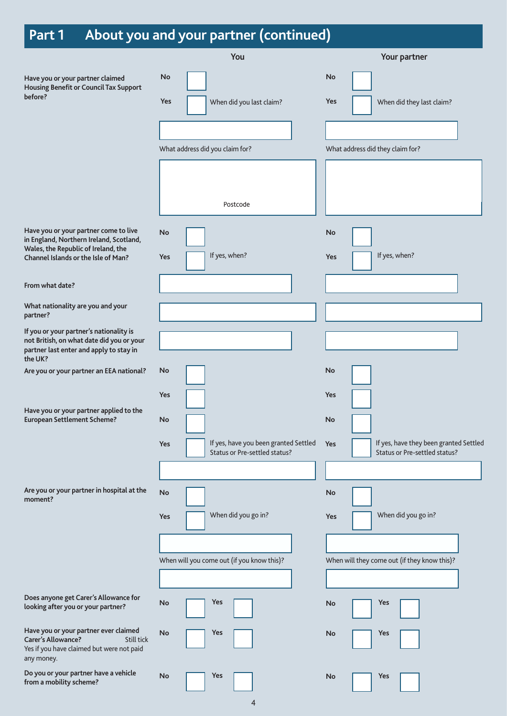# **Part 1 About you and your partner (continued)**

|                                                                                                                                             | You                                                                                        | Your partner                                                                                |
|---------------------------------------------------------------------------------------------------------------------------------------------|--------------------------------------------------------------------------------------------|---------------------------------------------------------------------------------------------|
| Have you or your partner claimed<br><b>Housing Benefit or Council Tax Support</b><br>before?                                                | No<br>Yes<br>When did you last claim?                                                      | No<br><b>Yes</b><br>When did they last claim?                                               |
|                                                                                                                                             |                                                                                            |                                                                                             |
|                                                                                                                                             | What address did you claim for?                                                            | What address did they claim for?                                                            |
|                                                                                                                                             | Postcode                                                                                   |                                                                                             |
| Have you or your partner come to live                                                                                                       | <b>No</b>                                                                                  | No                                                                                          |
| in England, Northern Ireland, Scotland,<br>Wales, the Republic of Ireland, the<br>Channel Islands or the Isle of Man?                       | If yes, when?<br>Yes                                                                       | If yes, when?<br>Yes                                                                        |
| From what date?                                                                                                                             |                                                                                            |                                                                                             |
| What nationality are you and your<br>partner?                                                                                               |                                                                                            |                                                                                             |
| If you or your partner's nationality is<br>not British, on what date did you or your<br>partner last enter and apply to stay in<br>the UK?  |                                                                                            |                                                                                             |
| Are you or your partner an EEA national?                                                                                                    | No                                                                                         | No                                                                                          |
| Have you or your partner applied to the<br><b>European Settlement Scheme?</b>                                                               | Yes<br>No<br>If yes, have you been granted Settled<br>Yes<br>Status or Pre-settled status? | Yes<br>No<br>If yes, have they been granted Settled<br>Yes<br>Status or Pre-settled status? |
| Are you or your partner in hospital at the<br>moment?                                                                                       | No                                                                                         | No                                                                                          |
|                                                                                                                                             | When did you go in?<br>Yes                                                                 | When did you go in?<br>Yes                                                                  |
|                                                                                                                                             |                                                                                            |                                                                                             |
|                                                                                                                                             | When will you come out (if you know this)?                                                 | When will they come out (if they know this)?                                                |
|                                                                                                                                             |                                                                                            |                                                                                             |
| Does anyone get Carer's Allowance for<br>looking after you or your partner?                                                                 | Yes<br>No                                                                                  | Yes<br>No                                                                                   |
| Have you or your partner ever claimed<br><b>Carer's Allowance?</b><br>Still tick<br>Yes if you have claimed but were not paid<br>any money. | <b>No</b><br>Yes                                                                           | Yes<br>No                                                                                   |
| Do you or your partner have a vehicle<br>from a mobility scheme?                                                                            | Yes<br><b>No</b>                                                                           | Yes<br>No                                                                                   |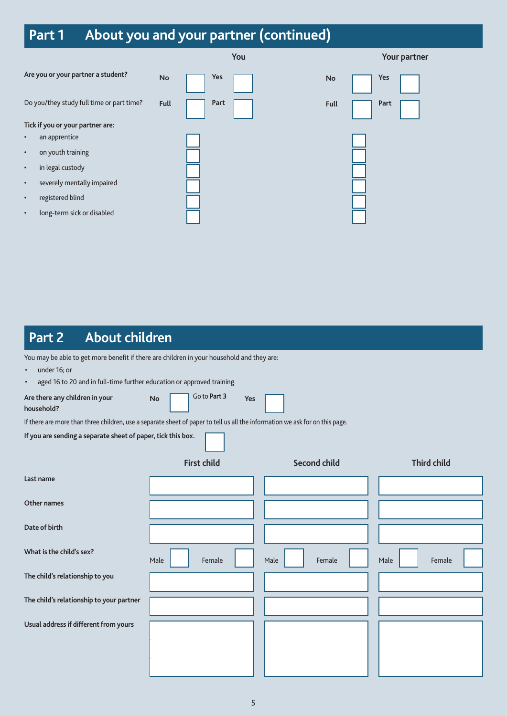# **Part 1 About you and your partner (continued)**

|                                           |             | You  |             | Your partner |
|-------------------------------------------|-------------|------|-------------|--------------|
| Are you or your partner a student?        | No          | Yes  | No          | Yes          |
| Do you/they study full time or part time? | <b>Full</b> | Part | <b>Full</b> | Part         |
| Tick if you or your partner are:          |             |      |             |              |
| an apprentice<br>$\bullet$                |             |      |             |              |
| on youth training<br>$\bullet$            |             |      |             |              |
| in legal custody<br>$\bullet$             |             |      |             |              |
| severely mentally impaired<br>$\bullet$   |             |      |             |              |
| registered blind<br>$\bullet$             |             |      |             |              |
| long-term sick or disabled<br>$\bullet$   |             |      |             |              |
|                                           |             |      |             |              |

### **Part 2 About children**

You may be able to get more benefit if there are children in your household and they are:

• under 16; or

aged 16 to 20 and in full-time further education or approved training.

| Are there any children in your<br>household?                                                                                 | Go to Part 3<br><b>No</b><br>Yes |                     |                    |  |
|------------------------------------------------------------------------------------------------------------------------------|----------------------------------|---------------------|--------------------|--|
| If there are more than three children, use a separate sheet of paper to tell us all the information we ask for on this page. |                                  |                     |                    |  |
| If you are sending a separate sheet of paper, tick this box.                                                                 |                                  |                     |                    |  |
|                                                                                                                              | <b>First child</b>               | <b>Second child</b> | <b>Third child</b> |  |
| Last name                                                                                                                    |                                  |                     |                    |  |
| Other names                                                                                                                  |                                  |                     |                    |  |
| Date of birth                                                                                                                |                                  |                     |                    |  |
| What is the child's sex?                                                                                                     | Male<br>Female                   | Male<br>Female      | Male<br>Female     |  |
| The child's relationship to you                                                                                              |                                  |                     |                    |  |
| The child's relationship to your partner                                                                                     |                                  |                     |                    |  |
| Usual address if different from yours                                                                                        |                                  |                     |                    |  |
|                                                                                                                              |                                  |                     |                    |  |
|                                                                                                                              |                                  |                     |                    |  |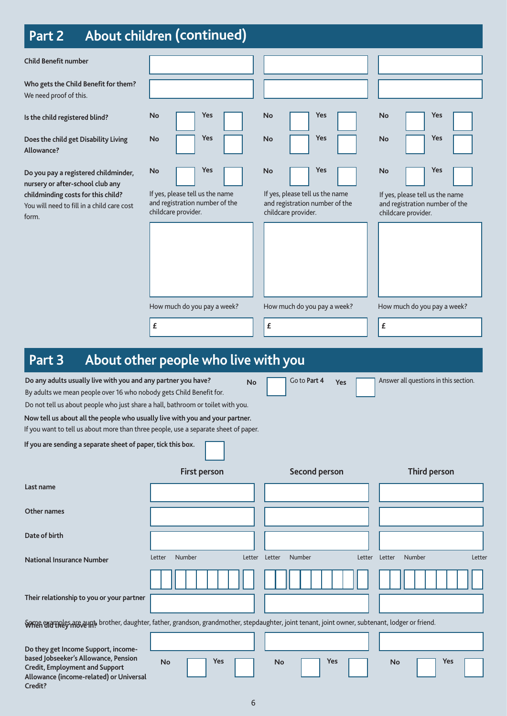### **Part 2 About children (continued)**

| Part Z                                                                                                                                                                                                                                                              | <b>ADOUT CHILDIER (CONTINUED)</b>                                                                     |                                                                                                              |                                                                                                       |
|---------------------------------------------------------------------------------------------------------------------------------------------------------------------------------------------------------------------------------------------------------------------|-------------------------------------------------------------------------------------------------------|--------------------------------------------------------------------------------------------------------------|-------------------------------------------------------------------------------------------------------|
| <b>Child Benefit number</b>                                                                                                                                                                                                                                         |                                                                                                       |                                                                                                              |                                                                                                       |
| Who gets the Child Benefit for them?<br>We need proof of this.                                                                                                                                                                                                      |                                                                                                       |                                                                                                              |                                                                                                       |
| Is the child registered blind?                                                                                                                                                                                                                                      | Yes<br>No                                                                                             | <b>No</b><br>Yes                                                                                             | Yes<br>No                                                                                             |
| Does the child get Disability Living<br>Allowance?                                                                                                                                                                                                                  | Yes<br>No                                                                                             | Yes<br><b>No</b>                                                                                             | Yes<br>No                                                                                             |
| Do you pay a registered childminder,<br>nursery or after-school club any<br>childminding costs for this child?<br>You will need to fill in a child care cost<br>form.                                                                                               | Yes<br>No<br>If yes, please tell us the name<br>and registration number of the<br>childcare provider. | Yes<br><b>No</b><br>If yes, please tell us the name<br>and registration number of the<br>childcare provider. | Yes<br>No<br>If yes, please tell us the name<br>and registration number of the<br>childcare provider. |
|                                                                                                                                                                                                                                                                     | How much do you pay a week?                                                                           | How much do you pay a week?                                                                                  | How much do you pay a week?                                                                           |
|                                                                                                                                                                                                                                                                     | £                                                                                                     | $\pmb{\mathit{f}}$                                                                                           | £                                                                                                     |
| About other people who live with you<br>Part 3<br>Do any adults usually live with you and any partner you have?<br>Go to Part 4<br>Answer all questions in this section.<br><b>No</b><br>Yes<br>By adults we mean people over 16 who nobody gets Child Benefit for. |                                                                                                       |                                                                                                              |                                                                                                       |
| Do not tell us about people who just share a hall, bathroom or toilet with you.                                                                                                                                                                                     |                                                                                                       |                                                                                                              |                                                                                                       |
| Now tell us about all the people who usually live with you and your partner.<br>If you want to tell us about more than three people, use a separate sheet of paper.                                                                                                 |                                                                                                       |                                                                                                              |                                                                                                       |
| If you are sending a separate sheet of paper, tick this box.                                                                                                                                                                                                        |                                                                                                       |                                                                                                              |                                                                                                       |
|                                                                                                                                                                                                                                                                     | <b>First person</b>                                                                                   | Second person                                                                                                | Third person                                                                                          |
| Last name                                                                                                                                                                                                                                                           |                                                                                                       |                                                                                                              |                                                                                                       |
| <b>Other names</b>                                                                                                                                                                                                                                                  |                                                                                                       |                                                                                                              |                                                                                                       |
| Date of birth                                                                                                                                                                                                                                                       |                                                                                                       |                                                                                                              |                                                                                                       |
| <b>National Insurance Number</b>                                                                                                                                                                                                                                    | Number<br>Letter<br>Letter                                                                            | Number<br>Letter<br>Letter                                                                                   | Number<br>Letter<br>Letter                                                                            |
| Their relationship to you or your partner                                                                                                                                                                                                                           |                                                                                                       |                                                                                                              |                                                                                                       |

**When did they move in?** Some examples are aunt, brother, daughter, father, grandson, grandmother, stepdaughter, joint tenant, joint owner, subtenant, lodger or friend.

**Do they get Income Support, incomebased Jobseeker's Allowance, Pension Credit, Employment and Support Allowance (income-related) or Universal Credit? No Yes No Yes No Yes**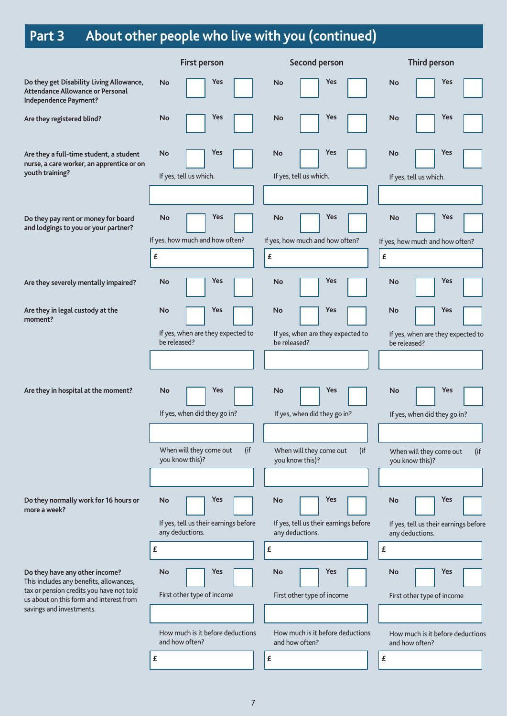# **Part 3 About other people who live with you (continued)**

|                                                                                                                       | <b>First person</b>                                      | <b>Second person</b>                                     | Third person                                             |
|-----------------------------------------------------------------------------------------------------------------------|----------------------------------------------------------|----------------------------------------------------------|----------------------------------------------------------|
| Do they get Disability Living Allowance,<br>Attendance Allowance or Personal<br>Independence Payment?                 | Yes<br><b>No</b>                                         | Yes<br><b>No</b>                                         | Yes<br><b>No</b>                                         |
| Are they registered blind?                                                                                            | Yes<br>No                                                | Yes<br>No                                                | Yes<br>No                                                |
| Are they a full-time student, a student<br>nurse, a care worker, an apprentice or on<br>youth training?               | Yes<br>No<br>If yes, tell us which.                      | Yes<br>No<br>If yes, tell us which.                      | Yes<br>No<br>If yes, tell us which.                      |
|                                                                                                                       |                                                          |                                                          |                                                          |
| Do they pay rent or money for board<br>and lodgings to you or your partner?                                           | Yes<br><b>No</b>                                         | Yes<br><b>No</b>                                         | Yes<br>No                                                |
|                                                                                                                       | If yes, how much and how often?                          | If yes, how much and how often?                          | If yes, how much and how often?                          |
|                                                                                                                       | £                                                        | £                                                        | £                                                        |
| Are they severely mentally impaired?                                                                                  | Yes<br>No                                                | Yes<br>No                                                | Yes<br>No                                                |
| Are they in legal custody at the<br>moment?                                                                           | Yes<br>No                                                | Yes<br>No                                                | Yes<br>No                                                |
|                                                                                                                       | If yes, when are they expected to<br>be released?        | If yes, when are they expected to<br>be released?        | If yes, when are they expected to<br>be released?        |
|                                                                                                                       |                                                          |                                                          |                                                          |
| Are they in hospital at the moment?                                                                                   | Yes<br>No                                                | Yes<br><b>No</b>                                         | Yes<br>No                                                |
|                                                                                                                       | If yes, when did they go in?                             | If yes, when did they go in?                             | If yes, when did they go in?                             |
|                                                                                                                       |                                                          |                                                          |                                                          |
|                                                                                                                       | When will they come out<br>(if<br>you know this)?        | When will they come out<br>(if<br>you know this)?        | When will they come out<br>(if<br>you know this)?        |
|                                                                                                                       |                                                          |                                                          |                                                          |
| Do they normally work for 16 hours or<br>more a week?                                                                 | Yes<br>No                                                | Yes<br>No                                                | <b>Yes</b><br>No                                         |
|                                                                                                                       | If yes, tell us their earnings before<br>any deductions. | If yes, tell us their earnings before<br>any deductions. | If yes, tell us their earnings before<br>any deductions. |
|                                                                                                                       | £                                                        | £                                                        | £                                                        |
| Do they have any other income?<br>This includes any benefits, allowances,<br>tax or pension credits you have not told | Yes<br><b>No</b>                                         | Yes<br>No                                                | Yes<br>No                                                |
| us about on this form and interest from<br>savings and investments.                                                   | First other type of income                               | First other type of income                               | First other type of income                               |
|                                                                                                                       | How much is it before deductions<br>and how often?       | How much is it before deductions<br>and how often?       | How much is it before deductions<br>and how often?       |
|                                                                                                                       | £                                                        | £                                                        | £                                                        |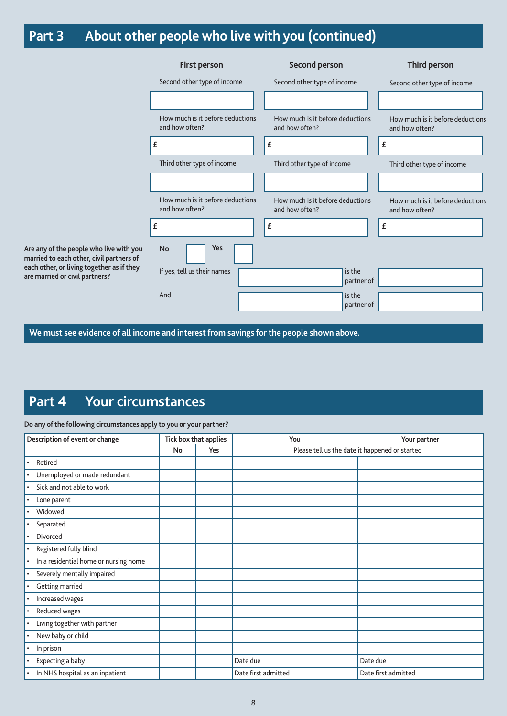# **Part 3 About other people who live with you (continued)**

|                                                                           | <b>First person</b>                                | Second person                                      | Third person                                       |
|---------------------------------------------------------------------------|----------------------------------------------------|----------------------------------------------------|----------------------------------------------------|
|                                                                           | Second other type of income                        | Second other type of income                        | Second other type of income                        |
|                                                                           |                                                    |                                                    |                                                    |
|                                                                           | How much is it before deductions<br>and how often? | How much is it before deductions<br>and how often? | How much is it before deductions<br>and how often? |
|                                                                           | £                                                  | £                                                  | £                                                  |
|                                                                           | Third other type of income                         | Third other type of income                         | Third other type of income                         |
|                                                                           |                                                    |                                                    |                                                    |
|                                                                           | How much is it before deductions<br>and how often? | How much is it before deductions<br>and how often? | How much is it before deductions<br>and how often? |
|                                                                           | £                                                  | £                                                  | £                                                  |
| ny of the people who live with you<br>ed to each other, civil partners of | Yes<br><b>No</b>                                   |                                                    |                                                    |
| other, or living together as if they<br>arried or civil partners?         | If yes, tell us their names                        | is the<br>partner of                               |                                                    |
|                                                                           | And                                                | is the<br>partner of                               |                                                    |
|                                                                           |                                                    |                                                    |                                                    |

**We must see evidence of all income and interest from savings for the people shown above.**

### **Part 4 Your circumstances**

**Are any marri each** are m

#### **Do any of the following circumstances apply to you or your partner?**

| Description of event or change               |    | Tick box that applies | You                 | Your partner                                   |
|----------------------------------------------|----|-----------------------|---------------------|------------------------------------------------|
|                                              | No | Yes                   |                     | Please tell us the date it happened or started |
| Retired                                      |    |                       |                     |                                                |
| Unemployed or made redundant<br>$\bullet$    |    |                       |                     |                                                |
| Sick and not able to work<br>$\bullet$       |    |                       |                     |                                                |
| Lone parent<br>$\bullet$                     |    |                       |                     |                                                |
| Widowed                                      |    |                       |                     |                                                |
| Separated<br>$\bullet$                       |    |                       |                     |                                                |
| Divorced                                     |    |                       |                     |                                                |
| Registered fully blind<br>$\bullet$          |    |                       |                     |                                                |
| In a residential home or nursing home        |    |                       |                     |                                                |
| Severely mentally impaired<br>$\bullet$      |    |                       |                     |                                                |
| Getting married                              |    |                       |                     |                                                |
| Increased wages<br>$\bullet$                 |    |                       |                     |                                                |
| Reduced wages<br>$\bullet$                   |    |                       |                     |                                                |
| Living together with partner<br>$\bullet$    |    |                       |                     |                                                |
| New baby or child                            |    |                       |                     |                                                |
| In prison<br>$\bullet$                       |    |                       |                     |                                                |
| Expecting a baby                             |    |                       | Date due            | Date due                                       |
| In NHS hospital as an inpatient<br>$\bullet$ |    |                       | Date first admitted | Date first admitted                            |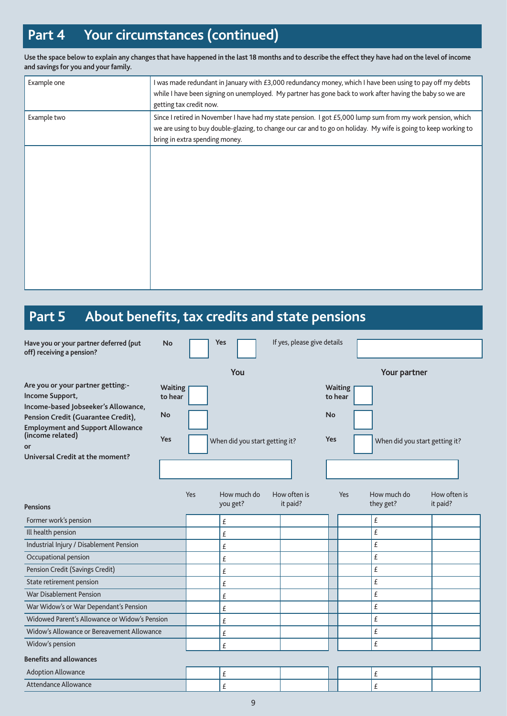## **Part 4 Your circumstances (continued)**

**Use the space below to explain any changes that have happened in the last 18 months and to describe the effect they have had on the level of income and savings for you and your family.**

| Example one | I was made redundant in January with £3,000 redundancy money, which I have been using to pay off my debts<br>while I have been signing on unemployed. My partner has gone back to work after having the baby so we are<br>getting tax credit now.               |
|-------------|-----------------------------------------------------------------------------------------------------------------------------------------------------------------------------------------------------------------------------------------------------------------|
| Example two | Since I retired in November I have had my state pension. I got £5,000 lump sum from my work pension, which<br>we are using to buy double-glazing, to change our car and to go on holiday. My wife is going to keep working to<br>bring in extra spending money. |
|             |                                                                                                                                                                                                                                                                 |
|             |                                                                                                                                                                                                                                                                 |
|             |                                                                                                                                                                                                                                                                 |
|             |                                                                                                                                                                                                                                                                 |
|             |                                                                                                                                                                                                                                                                 |

## **Part 5 About benefits, tax credits and state pensions**

| Have you or your partner deferred (put<br>off) receiving a pension?                                                                        | <b>No</b>                 |     | Yes                            | If yes, please give details |         |                |                                |              |
|--------------------------------------------------------------------------------------------------------------------------------------------|---------------------------|-----|--------------------------------|-----------------------------|---------|----------------|--------------------------------|--------------|
|                                                                                                                                            |                           |     | You                            |                             |         |                | Your partner                   |              |
| Are you or your partner getting:-<br>Income Support,<br>Income-based Jobseeker's Allowance,                                                | <b>Waiting</b><br>to hear |     |                                |                             | to hear | <b>Waiting</b> |                                |              |
| Pension Credit (Guarantee Credit),<br><b>Employment and Support Allowance</b><br>(income related)<br>or<br>Universal Credit at the moment? | No                        |     |                                |                             | No      |                |                                |              |
|                                                                                                                                            | <b>Yes</b>                |     | When did you start getting it? |                             | Yes     |                | When did you start getting it? |              |
|                                                                                                                                            |                           |     |                                |                             |         |                |                                |              |
|                                                                                                                                            |                           | Yes | How much do                    | How often is                |         | Yes            | How much do                    | How often is |
| <b>Pensions</b>                                                                                                                            |                           |     | you get?                       | it paid?                    |         |                | they get?                      | it paid?     |
| Former work's pension                                                                                                                      |                           |     | £                              |                             |         |                | £                              |              |
| Ill health pension                                                                                                                         |                           |     | £                              |                             |         |                | £                              |              |
| Industrial Injury / Disablement Pension                                                                                                    |                           |     | £                              |                             |         |                | £                              |              |
| Occupational pension                                                                                                                       |                           |     | £                              |                             |         |                | £                              |              |
| Pension Credit (Savings Credit)                                                                                                            |                           |     | £                              |                             |         |                | £                              |              |
| State retirement pension                                                                                                                   |                           |     | £                              |                             |         |                | £                              |              |
| War Disablement Pension                                                                                                                    |                           |     | £                              |                             |         |                | £                              |              |
| War Widow's or War Dependant's Pension                                                                                                     |                           |     | £                              |                             |         |                | £                              |              |
| Widowed Parent's Allowance or Widow's Pension                                                                                              |                           |     | £                              |                             |         |                | £                              |              |
| Widow's Allowance or Bereavement Allowance                                                                                                 |                           |     | £                              |                             |         |                | £                              |              |
| Widow's pension                                                                                                                            |                           |     | £                              |                             |         |                | £                              |              |
| <b>Benefits and allowances</b>                                                                                                             |                           |     |                                |                             |         |                |                                |              |
| <b>Adoption Allowance</b>                                                                                                                  |                           |     | £                              |                             |         |                | £                              |              |
| Attendance Allowance                                                                                                                       |                           |     | £                              |                             |         |                | £                              |              |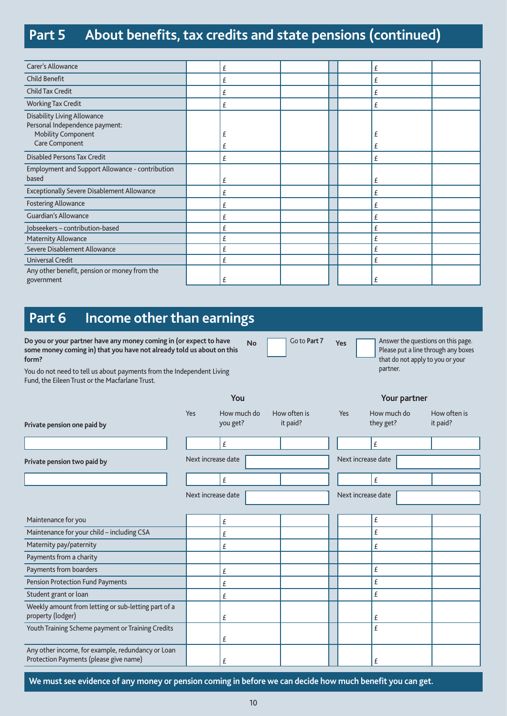### **Part 5 About benefits, tax credits and state pensions (continued)**

| Carer's Allowance                                                                                            | £      |  | £      |  |
|--------------------------------------------------------------------------------------------------------------|--------|--|--------|--|
| Child Benefit                                                                                                | £      |  | £      |  |
| Child Tax Credit                                                                                             | £      |  | £      |  |
| <b>Working Tax Credit</b>                                                                                    | £      |  | £      |  |
| Disability Living Allowance<br>Personal Independence payment:<br><b>Mobility Component</b><br>Care Component | £<br>£ |  | £<br>£ |  |
| <b>Disabled Persons Tax Credit</b>                                                                           | £      |  | £      |  |
| Employment and Support Allowance - contribution<br>based                                                     | £      |  | £      |  |
| Exceptionally Severe Disablement Allowance                                                                   | £      |  | £      |  |
| <b>Fostering Allowance</b>                                                                                   | £      |  | £      |  |
| <b>Guardian's Allowance</b>                                                                                  | £      |  | £      |  |
| Jobseekers - contribution-based                                                                              | £      |  | £      |  |
| Maternity Allowance                                                                                          | £      |  | £      |  |
| Severe Disablement Allowance                                                                                 | £      |  | £      |  |
| Universal Credit                                                                                             | £      |  | £      |  |
| Any other benefit, pension or money from the<br>government                                                   | £      |  | £      |  |

**No Go to Part 7 Yes Answer the questions on this page.** 

partner.

Please put a line through any boxes that do not apply to you or your

### **Part 6 Income other than earnings**

**Do you or your partner have any money coming in (or expect to have some money coming in) that you have not already told us about on this form?**

You do not need to tell us about payments from the Independent Living Fund, the Eileen Trust or the Macfarlane Trust.

|                                                                                             |                    | You                     |                          |                    | Your partner             |                          |
|---------------------------------------------------------------------------------------------|--------------------|-------------------------|--------------------------|--------------------|--------------------------|--------------------------|
| Private pension one paid by                                                                 | Yes                | How much do<br>you get? | How often is<br>it paid? | Yes                | How much do<br>they get? | How often is<br>it paid? |
|                                                                                             |                    | £                       |                          |                    | £                        |                          |
| Private pension two paid by                                                                 | Next increase date |                         |                          | Next increase date |                          |                          |
|                                                                                             |                    | £                       |                          |                    | £                        |                          |
|                                                                                             | Next increase date |                         |                          | Next increase date |                          |                          |
|                                                                                             |                    |                         |                          |                    |                          |                          |
| Maintenance for you                                                                         |                    | £                       |                          |                    | £                        |                          |
| Maintenance for your child - including CSA                                                  |                    | £                       |                          |                    | £                        |                          |
| Maternity pay/paternity                                                                     |                    | £                       |                          |                    | £                        |                          |
| Payments from a charity                                                                     |                    |                         |                          |                    |                          |                          |
| Payments from boarders                                                                      |                    | £                       |                          |                    | £                        |                          |
| Pension Protection Fund Payments                                                            |                    | £                       |                          |                    | £                        |                          |
| Student grant or loan                                                                       |                    | £                       |                          |                    | £                        |                          |
| Weekly amount from letting or sub-letting part of a<br>property (lodger)                    |                    | £                       |                          |                    | £                        |                          |
| Youth Training Scheme payment or Training Credits                                           |                    | £                       |                          |                    | £                        |                          |
| Any other income, for example, redundancy or Loan<br>Protection Payments (please give name) |                    | £                       |                          |                    | £                        |                          |

**We must see evidence of any money or pension coming in before we can decide how much benefit you can get.**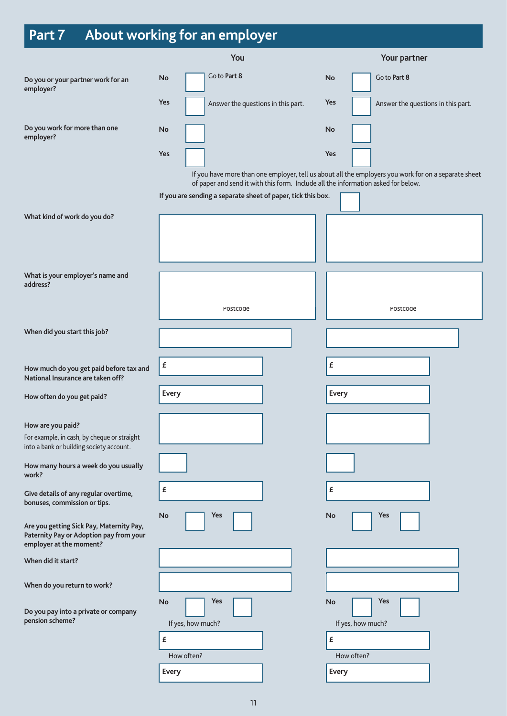# **Part 7 About working for an employer**

|                                                                                                                | You                                                                                                                                               | Your partner                                                                                                |  |  |
|----------------------------------------------------------------------------------------------------------------|---------------------------------------------------------------------------------------------------------------------------------------------------|-------------------------------------------------------------------------------------------------------------|--|--|
| Do you or your partner work for an<br>employer?                                                                | Go to Part 8<br><b>No</b>                                                                                                                         | Go to Part 8<br>No                                                                                          |  |  |
|                                                                                                                | Yes<br>Answer the questions in this part.                                                                                                         | Yes<br>Answer the questions in this part.                                                                   |  |  |
| Do you work for more than one<br>employer?                                                                     | <b>No</b>                                                                                                                                         | No                                                                                                          |  |  |
|                                                                                                                | Yes                                                                                                                                               | Yes<br>If you have more than one employer, tell us about all the employers you work for on a separate sheet |  |  |
|                                                                                                                | of paper and send it with this form. Include all the information asked for below.<br>If you are sending a separate sheet of paper, tick this box. |                                                                                                             |  |  |
|                                                                                                                |                                                                                                                                                   |                                                                                                             |  |  |
| What kind of work do you do?                                                                                   |                                                                                                                                                   |                                                                                                             |  |  |
| What is your employer's name and                                                                               |                                                                                                                                                   |                                                                                                             |  |  |
| address?                                                                                                       |                                                                                                                                                   |                                                                                                             |  |  |
|                                                                                                                | Postcode                                                                                                                                          | Postcode                                                                                                    |  |  |
| When did you start this job?                                                                                   |                                                                                                                                                   |                                                                                                             |  |  |
|                                                                                                                |                                                                                                                                                   |                                                                                                             |  |  |
| How much do you get paid before tax and<br>National Insurance are taken off?                                   | £                                                                                                                                                 | £                                                                                                           |  |  |
| How often do you get paid?                                                                                     | Every                                                                                                                                             | Every                                                                                                       |  |  |
| How are you paid?                                                                                              |                                                                                                                                                   |                                                                                                             |  |  |
| For example, in cash, by cheque or straight<br>into a bank or building society account.                        |                                                                                                                                                   |                                                                                                             |  |  |
| How many hours a week do you usually<br>work?                                                                  |                                                                                                                                                   |                                                                                                             |  |  |
| Give details of any regular overtime,<br>bonuses, commission or tips.                                          | £                                                                                                                                                 | $\pmb{\mathit{f}}$                                                                                          |  |  |
| Are you getting Sick Pay, Maternity Pay,<br>Paternity Pay or Adoption pay from your<br>employer at the moment? | No<br>Yes                                                                                                                                         | Yes<br>No                                                                                                   |  |  |
| When did it start?                                                                                             |                                                                                                                                                   |                                                                                                             |  |  |
| When do you return to work?                                                                                    |                                                                                                                                                   |                                                                                                             |  |  |
| Do you pay into a private or company<br>pension scheme?                                                        | <b>Yes</b><br>No<br>If yes, how much?                                                                                                             | Yes<br>No<br>If yes, how much?                                                                              |  |  |
|                                                                                                                | £                                                                                                                                                 | £                                                                                                           |  |  |
|                                                                                                                | How often?                                                                                                                                        | How often?                                                                                                  |  |  |
|                                                                                                                | Every                                                                                                                                             | Every                                                                                                       |  |  |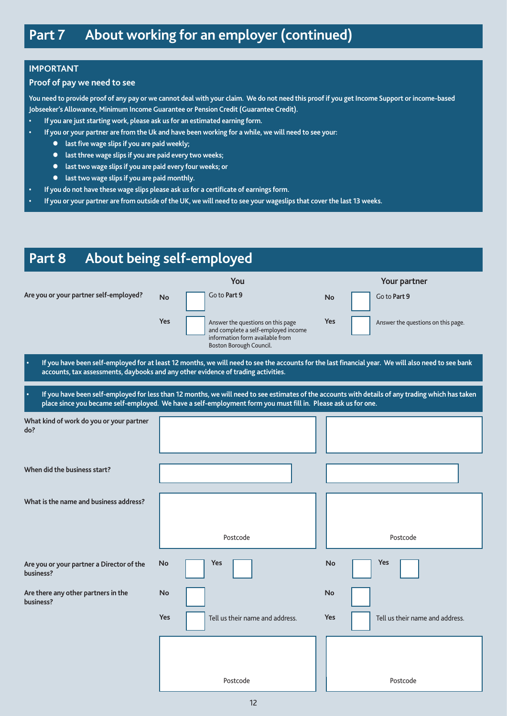### **IMPORTANT**

#### **Proof of pay we need to see**

**You need to provide proof of any pay or we cannot deal with your claim. We do not need this proof if you get Income Support or income-based Jobseeker's Allowance, Minimum Income Guarantee or Pension Credit (Guarantee Credit).** 

- **• If you are just starting work, please ask us for an estimated earning form.**
- **• If you or your partner are from the Uk and have been working for a while, we will need to see your:**
	- **last five wage slips if you are paid weekly;**
	- **last three wage slips if you are paid every two weeks;**
	- **last two wage slips if you are paid every four weeks; or**
	- **last two wage slips if you are paid monthly.**
- **• If you do not have these wage slips please ask us for a certificate of earnings form.**
- **• If you or your partner are from outside of the UK, we will need to see your wageslips that cover the last 13 weeks.**

### **Part 8 About being self-employed**

|                                                                                                                            |           | You                                                                                                                                    |           | Your partner                                                                                                                                       |
|----------------------------------------------------------------------------------------------------------------------------|-----------|----------------------------------------------------------------------------------------------------------------------------------------|-----------|----------------------------------------------------------------------------------------------------------------------------------------------------|
| Are you or your partner self-employed?                                                                                     | <b>No</b> | Go to Part 9                                                                                                                           | <b>No</b> | Go to Part 9                                                                                                                                       |
|                                                                                                                            | Yes       | Answer the questions on this page<br>and complete a self-employed income<br>information form available from<br>Boston Borough Council. | Yes       | Answer the questions on this page.                                                                                                                 |
| $\bullet$<br>accounts, tax assessments, daybooks and any other evidence of trading activities.                             |           |                                                                                                                                        |           | If you have been self-employed for at least 12 months, we will need to see the accounts for the last financial year. We will also need to see bank |
| $\bullet$<br>place since you became self-employed. We have a self-employment form you must fill in. Please ask us for one. |           |                                                                                                                                        |           | If you have been self-employed for less than 12 months, we will need to see estimates of the accounts with details of any trading which has taken  |
| What kind of work do you or your partner<br>do?                                                                            |           |                                                                                                                                        |           |                                                                                                                                                    |
| When did the business start?                                                                                               |           |                                                                                                                                        |           |                                                                                                                                                    |
| What is the name and business address?                                                                                     |           |                                                                                                                                        |           |                                                                                                                                                    |
|                                                                                                                            |           | Postcode                                                                                                                               |           | Postcode                                                                                                                                           |
| Are you or your partner a Director of the<br>business?                                                                     | No        | Yes                                                                                                                                    | No        | Yes                                                                                                                                                |
| Are there any other partners in the<br>business?                                                                           | <b>No</b> |                                                                                                                                        | <b>No</b> |                                                                                                                                                    |
|                                                                                                                            | Yes       | Tell us their name and address.                                                                                                        | Yes       | Tell us their name and address.                                                                                                                    |
|                                                                                                                            |           | Postcode                                                                                                                               |           | Postcode                                                                                                                                           |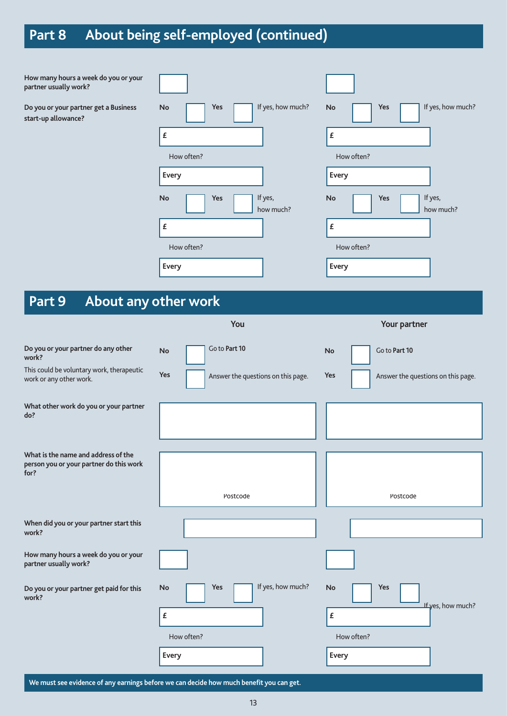# **Part 8 About being self-employed (continued)**

| How many hours a week do you or your<br>partner usually work?        |                                           |                                                  |
|----------------------------------------------------------------------|-------------------------------------------|--------------------------------------------------|
| Do you or your partner get a Business<br>start-up allowance?         | If yes, how much?<br>Yes<br><b>No</b>     | If yes, how much?<br>Yes<br>No                   |
|                                                                      | $\pmb{\mathit{f}}$                        | £                                                |
|                                                                      | How often?                                | How often?                                       |
|                                                                      | Every                                     | Every                                            |
|                                                                      | If yes,<br><b>No</b><br>Yes<br>how much?  | If yes,<br>Yes<br>No<br>how much?                |
|                                                                      | $\pmb{\mathsf{E}}$                        | £                                                |
|                                                                      | How often?                                | How often?                                       |
|                                                                      | Every                                     | Every                                            |
|                                                                      |                                           |                                                  |
| About any other work<br>Part 9                                       |                                           |                                                  |
|                                                                      | You                                       | Your partner                                     |
| Do you or your partner do any other<br>work?                         | Go to Part 10<br><b>No</b>                | Go to Part 10<br>No                              |
| This could be voluntary work, therapeutic<br>work or any other work. | Yes<br>Answer the questions on this page. | <b>Yes</b><br>Answer the questions on this page. |
| What other work do you or your partner<br>do?                        |                                           |                                                  |
|                                                                      |                                           |                                                  |
|                                                                      |                                           |                                                  |
| What is the name and address of the                                  |                                           |                                                  |
| person you or your partner do this work<br>for?                      |                                           |                                                  |
|                                                                      | Postcode                                  | Postcode                                         |
|                                                                      |                                           |                                                  |
| When did you or your partner start this<br>work?                     |                                           |                                                  |
| How many hours a week do you or your<br>partner usually work?        |                                           |                                                  |
| Do you or your partner get paid for this<br>work?                    | If yes, how much?<br>Yes<br>No            | Yes<br>No                                        |
|                                                                      | $\pmb{\mathit{f}}$                        | If yes, how much?<br>£                           |
|                                                                      | How often?                                | How often?                                       |
|                                                                      | Every                                     | Every                                            |

**We must see evidence of any earnings before we can decide how much benefit you can get.**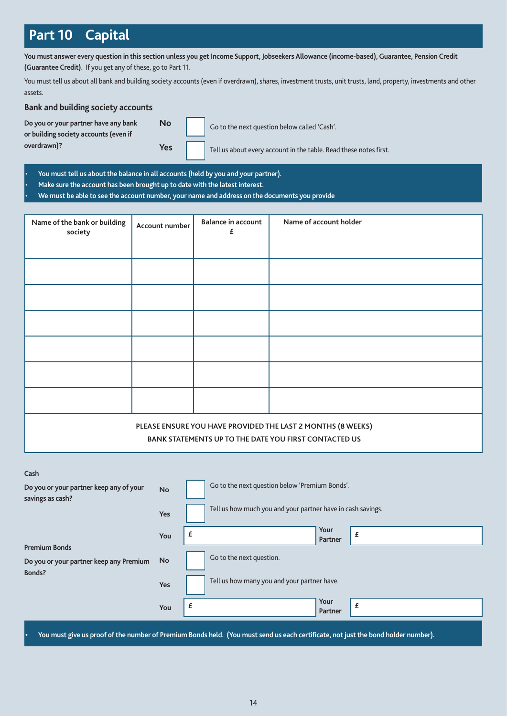### **Part 10 Capital**

**You must answer every question in this section unless you get Income Support, Jobseekers Allowance (income-based), Guarantee, Pension Credit (Guarantee Credit).** If you get any of these, go to Part 11.

You must tell us about all bank and building society accounts (even if overdrawn), shares, investment trusts, unit trusts, land, property, investments and other assets.

### **Bank and building society accounts**

**Do you or your partner have any bank or building society accounts (even if overdrawn)?**

**Yes**

**No**

Go to the next question below called 'Cash'.

Tell us about every account in the table. Read these notes first.

• **You must tell us about the balance in all accounts (held by you and your partner).**

• **Make sure the account has been brought up to date with the latest interest.**

• **We must be able to see the account number, your name and address on the documents you provide**

| Name of the bank or building<br>society | Account number | <b>Balance in account</b><br>£ | Name of account holder                                                                                               |
|-----------------------------------------|----------------|--------------------------------|----------------------------------------------------------------------------------------------------------------------|
|                                         |                |                                |                                                                                                                      |
|                                         |                |                                |                                                                                                                      |
|                                         |                |                                |                                                                                                                      |
|                                         |                |                                |                                                                                                                      |
|                                         |                |                                |                                                                                                                      |
|                                         |                |                                |                                                                                                                      |
|                                         |                |                                |                                                                                                                      |
|                                         |                |                                | PLEASE ENSURE YOU HAVE PROVIDED THE LAST 2 MONTHS (8 WEEKS)<br>BANK STATEMENTS UP TO THE DATE YOU FIRST CONTACTED US |

| Cash                                                        |           |                                                                                                                                   |                 |   |
|-------------------------------------------------------------|-----------|-----------------------------------------------------------------------------------------------------------------------------------|-----------------|---|
| Do you or your partner keep any of your<br>savings as cash? | <b>No</b> | Go to the next question below 'Premium Bonds'.                                                                                    |                 |   |
|                                                             | Yes       | Tell us how much you and your partner have in cash savings.                                                                       |                 |   |
|                                                             | You       |                                                                                                                                   | Your<br>Partner | £ |
| <b>Premium Bonds</b>                                        |           |                                                                                                                                   |                 |   |
| Do you or your partner keep any Premium                     | <b>No</b> | Go to the next question.                                                                                                          |                 |   |
| Bonds?                                                      | Yes       | Tell us how many you and your partner have.                                                                                       |                 |   |
|                                                             | You       | £                                                                                                                                 | Your<br>Partner | £ |
|                                                             |           | You must give us proof of the number of Premium Bonds held. (You must send us each certificate, not just the bond holder number). |                 |   |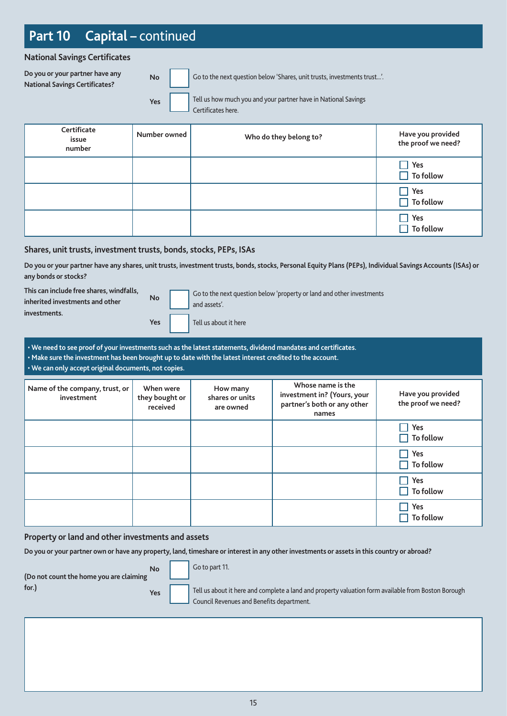## **Part 10 Capital –** continued

**National Savings Certificates**

**Do you or your partner have any National Savings Certificates?**

**No**

Go to the next question below 'Shares, unit trusts, investments trust...'.

Yes **Tell** Tell us how much you and your partner have in National Savings Certificates here.

| Certificate<br>issue<br>number | Number owned | Who do they belong to? | Have you provided<br>the proof we need? |
|--------------------------------|--------------|------------------------|-----------------------------------------|
|                                |              |                        | Yes<br>$\Box$ To follow                 |
|                                |              |                        | $\Box$ Yes<br>$\Box$ To follow          |
|                                |              |                        | Yes<br>$\Box$ To follow                 |

### **Shares, unit trusts, investment trusts, bonds, stocks, PEPs, ISAs**

**Do you or your partner have any shares, unit trusts, investment trusts, bonds, stocks, Personal Equity Plans (PEPs), Individual Savings Accounts (ISAs) or any bonds or stocks?**

**No This can include free shares, windfalls, inherited investments and other investments.**

| No  | Go to the next quest<br>and assets'. |
|-----|--------------------------------------|
| Yes | Tell us about it here                |

he next question below 'property or land and other investments ets'.

| . We need to see proof of your investments such as the latest statements, dividend mandates and certificates. |  |
|---------------------------------------------------------------------------------------------------------------|--|
| . Make sure the investment has been brought up to date with the latest interest credited to the account.      |  |
| $\cdot$ We can only accept original documents, not copies.                                                    |  |
|                                                                                                               |  |

| Name of the company, trust, or<br>investment | When were<br>they bought or<br>received | How many<br>shares or units<br>are owned | Whose name is the<br>investment in? (Yours, your<br>partner's both or any other<br>names | Have you provided<br>the proof we need? |
|----------------------------------------------|-----------------------------------------|------------------------------------------|------------------------------------------------------------------------------------------|-----------------------------------------|
|                                              |                                         |                                          |                                                                                          | Yes<br>$\Box$ To follow                 |
|                                              |                                         |                                          |                                                                                          | Yes<br>$\Box$ To follow                 |
|                                              |                                         |                                          |                                                                                          | Yes<br>$\Box$ To follow                 |
|                                              |                                         |                                          |                                                                                          | Yes<br><b>To follow</b>                 |

#### **Property or land and other investments and assets**

**Do you or your partner own or have any property, land, timeshare or interest in any other investments or assets in this country or abroad?**

| No<br>(Do not count the home you are claiming | Go to part 11.                                                                                                                                   |
|-----------------------------------------------|--------------------------------------------------------------------------------------------------------------------------------------------------|
| for.)<br>Yes                                  | Tell us about it here and complete a land and property valuation form available from Boston Borough<br>Council Revenues and Benefits department. |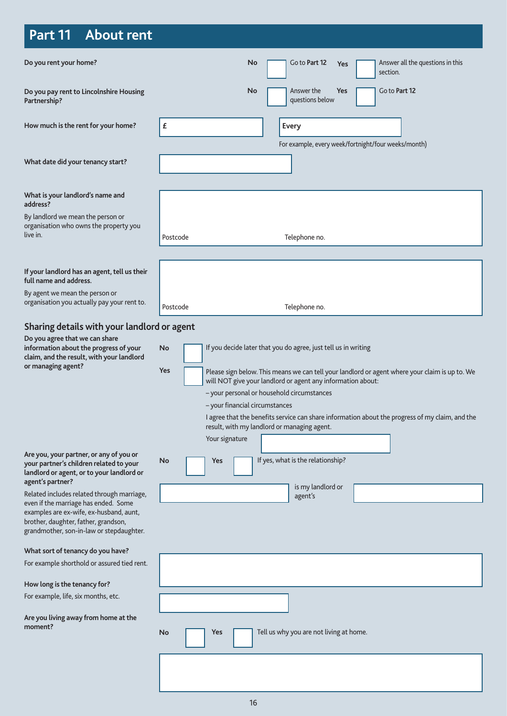# **Part 11 About rent**

| Do you rent your home?                                                                                                                                              | Go to Part 12<br>Answer all the questions in this<br>No<br>Yes<br>section.                                                                                                                                                                                                                                                                                                                                                                                                                              |
|---------------------------------------------------------------------------------------------------------------------------------------------------------------------|---------------------------------------------------------------------------------------------------------------------------------------------------------------------------------------------------------------------------------------------------------------------------------------------------------------------------------------------------------------------------------------------------------------------------------------------------------------------------------------------------------|
| Do you pay rent to Lincolnshire Housing<br>Partnership?                                                                                                             | Answer the<br>Go to Part 12<br>No<br><b>Yes</b><br>questions below                                                                                                                                                                                                                                                                                                                                                                                                                                      |
| How much is the rent for your home?                                                                                                                                 | £<br>Every<br>For example, every week/fortnight/four weeks/month)                                                                                                                                                                                                                                                                                                                                                                                                                                       |
| What date did your tenancy start?                                                                                                                                   |                                                                                                                                                                                                                                                                                                                                                                                                                                                                                                         |
| What is your landlord's name and<br>address?                                                                                                                        |                                                                                                                                                                                                                                                                                                                                                                                                                                                                                                         |
| By landlord we mean the person or<br>organisation who owns the property you<br>live in.                                                                             | Postcode<br>Telephone no.                                                                                                                                                                                                                                                                                                                                                                                                                                                                               |
|                                                                                                                                                                     |                                                                                                                                                                                                                                                                                                                                                                                                                                                                                                         |
| If your landlord has an agent, tell us their<br>full name and address.                                                                                              |                                                                                                                                                                                                                                                                                                                                                                                                                                                                                                         |
| By agent we mean the person or<br>organisation you actually pay your rent to.                                                                                       | Telephone no.<br>Postcode                                                                                                                                                                                                                                                                                                                                                                                                                                                                               |
| Sharing details with your landlord or agent                                                                                                                         |                                                                                                                                                                                                                                                                                                                                                                                                                                                                                                         |
| Do you agree that we can share<br>information about the progress of your<br>claim, and the result, with your landlord<br>or managing agent?                         | If you decide later that you do agree, just tell us in writing<br><b>No</b><br>Yes<br>Please sign below. This means we can tell your landlord or agent where your claim is up to. We<br>will NOT give your landlord or agent any information about:<br>- your personal or household circumstances<br>- your financial circumstances<br>I agree that the benefits service can share information about the progress of my claim, and the<br>result, with my landlord or managing agent.<br>Your signature |
| Are you, your partner, or any of you or<br>your partner's children related to your<br>landlord or agent, or to your landlord or                                     | If yes, what is the relationship?<br><b>No</b><br>Yes                                                                                                                                                                                                                                                                                                                                                                                                                                                   |
| agent's partner?<br>Related includes related through marriage,                                                                                                      | is my landlord or<br>agent's                                                                                                                                                                                                                                                                                                                                                                                                                                                                            |
| even if the marriage has ended. Some<br>examples are ex-wife, ex-husband, aunt,<br>brother, daughter, father, grandson,<br>grandmother, son-in-law or stepdaughter. |                                                                                                                                                                                                                                                                                                                                                                                                                                                                                                         |
| What sort of tenancy do you have?                                                                                                                                   |                                                                                                                                                                                                                                                                                                                                                                                                                                                                                                         |
| For example shorthold or assured tied rent.                                                                                                                         |                                                                                                                                                                                                                                                                                                                                                                                                                                                                                                         |
| How long is the tenancy for?                                                                                                                                        |                                                                                                                                                                                                                                                                                                                                                                                                                                                                                                         |
| For example, life, six months, etc.                                                                                                                                 |                                                                                                                                                                                                                                                                                                                                                                                                                                                                                                         |
| Are you living away from home at the<br>moment?                                                                                                                     | Tell us why you are not living at home.<br>No<br>Yes                                                                                                                                                                                                                                                                                                                                                                                                                                                    |
|                                                                                                                                                                     |                                                                                                                                                                                                                                                                                                                                                                                                                                                                                                         |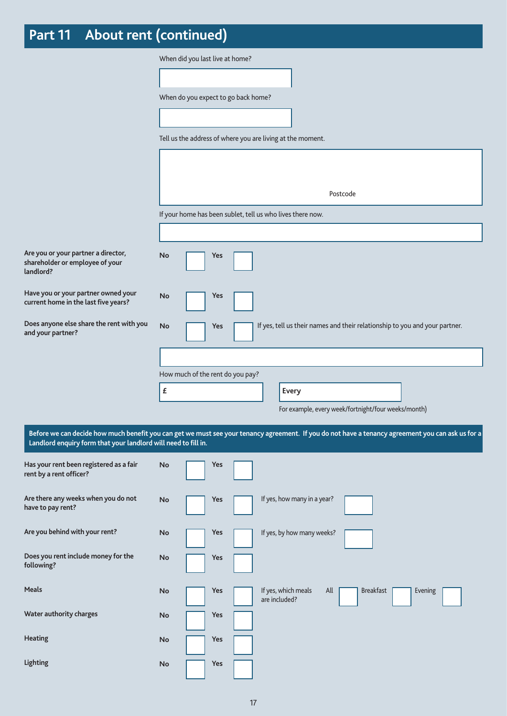# **Part 11 About rent (continued)**

|                                                                                     | When did you last live at home?     |     |  |                                                            |                                                                                                                                                   |  |
|-------------------------------------------------------------------------------------|-------------------------------------|-----|--|------------------------------------------------------------|---------------------------------------------------------------------------------------------------------------------------------------------------|--|
|                                                                                     |                                     |     |  |                                                            |                                                                                                                                                   |  |
|                                                                                     | When do you expect to go back home? |     |  |                                                            |                                                                                                                                                   |  |
|                                                                                     |                                     |     |  |                                                            |                                                                                                                                                   |  |
|                                                                                     |                                     |     |  | Tell us the address of where you are living at the moment. |                                                                                                                                                   |  |
|                                                                                     |                                     |     |  |                                                            |                                                                                                                                                   |  |
|                                                                                     |                                     |     |  |                                                            | Postcode                                                                                                                                          |  |
|                                                                                     |                                     |     |  | If your home has been sublet, tell us who lives there now. |                                                                                                                                                   |  |
|                                                                                     |                                     |     |  |                                                            |                                                                                                                                                   |  |
| Are you or your partner a director,<br>shareholder or employee of your<br>landlord? | No                                  | Yes |  |                                                            |                                                                                                                                                   |  |
| Have you or your partner owned your<br>current home in the last five years?         | No                                  | Yes |  |                                                            |                                                                                                                                                   |  |
| Does anyone else share the rent with you<br>and your partner?                       | <b>No</b>                           | Yes |  |                                                            | If yes, tell us their names and their relationship to you and your partner.                                                                       |  |
|                                                                                     |                                     |     |  |                                                            |                                                                                                                                                   |  |
|                                                                                     | How much of the rent do you pay?    |     |  |                                                            |                                                                                                                                                   |  |
|                                                                                     | £                                   |     |  | Every                                                      |                                                                                                                                                   |  |
|                                                                                     |                                     |     |  |                                                            | For example, every week/fortnight/four weeks/month)                                                                                               |  |
| Landlord enquiry form that your landlord will need to fill in.                      |                                     |     |  |                                                            | Before we can decide how much benefit you can get we must see your tenancy agreement. If you do not have a tenancy agreement you can ask us for a |  |
| Has your rent been registered as a fair<br>rent by a rent officer?                  | <b>No</b>                           | Yes |  |                                                            |                                                                                                                                                   |  |
| Are there any weeks when you do not<br>have to pay rent?                            | <b>No</b>                           | Yes |  | If yes, how many in a year?                                |                                                                                                                                                   |  |
| Are you behind with your rent?                                                      | No                                  | Yes |  | If yes, by how many weeks?                                 |                                                                                                                                                   |  |
| Does you rent include money for the<br>following?                                   | No                                  | Yes |  |                                                            |                                                                                                                                                   |  |
| Meals                                                                               | <b>No</b>                           | Yes |  | If yes, which meals<br>All<br>are included?                | <b>Breakfast</b><br>Evening                                                                                                                       |  |
| Water authority charges                                                             | No                                  | Yes |  |                                                            |                                                                                                                                                   |  |
| <b>Heating</b>                                                                      | No                                  | Yes |  |                                                            |                                                                                                                                                   |  |
| <b>Lighting</b>                                                                     | No                                  | Yes |  |                                                            |                                                                                                                                                   |  |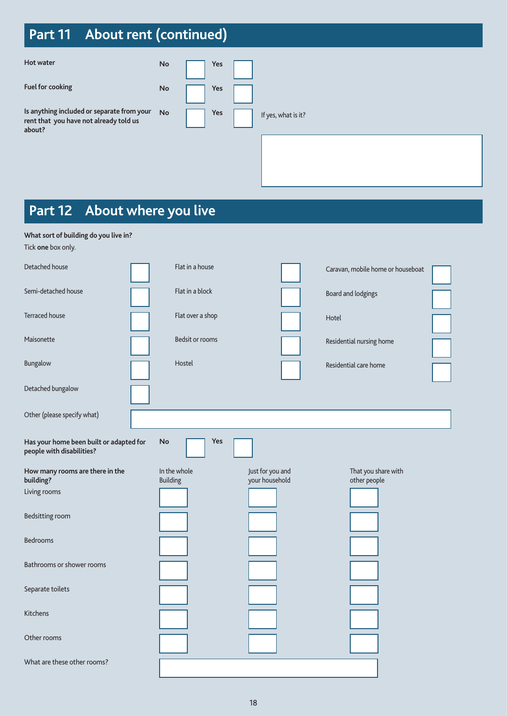# **Part 11 About rent (continued)**

| Hot water                                                                                      | No | Yes |                     |
|------------------------------------------------------------------------------------------------|----|-----|---------------------|
| <b>Fuel for cooking</b>                                                                        | No | Yes |                     |
| Is anything included or separate from your<br>rent that you have not already told us<br>about? | No | Yes | If yes, what is it? |
|                                                                                                |    |     |                     |

# **Part 12 About where you live**

**What sort of building do you live in?**

| Tick one box only.                                                   |                                 |                        |                                    |                                     |  |
|----------------------------------------------------------------------|---------------------------------|------------------------|------------------------------------|-------------------------------------|--|
| Detached house                                                       |                                 | Flat in a house        |                                    | Caravan, mobile home or houseboat   |  |
| Semi-detached house                                                  |                                 | Flat in a block        |                                    | Board and lodgings                  |  |
| <b>Terraced house</b>                                                |                                 | Flat over a shop       |                                    | Hotel                               |  |
| Maisonette                                                           |                                 | <b>Bedsit or rooms</b> |                                    | Residential nursing home            |  |
| Bungalow                                                             | Hostel                          |                        |                                    | Residential care home               |  |
| Detached bungalow                                                    |                                 |                        |                                    |                                     |  |
| Other (please specify what)                                          |                                 |                        |                                    |                                     |  |
| Has your home been built or adapted for<br>people with disabilities? | <b>No</b>                       | <b>Yes</b>             |                                    |                                     |  |
| How many rooms are there in the<br>building?                         | In the whole<br><b>Building</b> |                        | Just for you and<br>your household | That you share with<br>other people |  |
| Living rooms                                                         |                                 |                        |                                    |                                     |  |
| Bedsitting room                                                      |                                 |                        |                                    |                                     |  |
| <b>Bedrooms</b>                                                      |                                 |                        |                                    |                                     |  |
| Bathrooms or shower rooms                                            |                                 |                        |                                    |                                     |  |
| Separate toilets                                                     |                                 |                        |                                    |                                     |  |
| Kitchens                                                             |                                 |                        |                                    |                                     |  |
| Other rooms                                                          |                                 |                        |                                    |                                     |  |
|                                                                      |                                 |                        |                                    |                                     |  |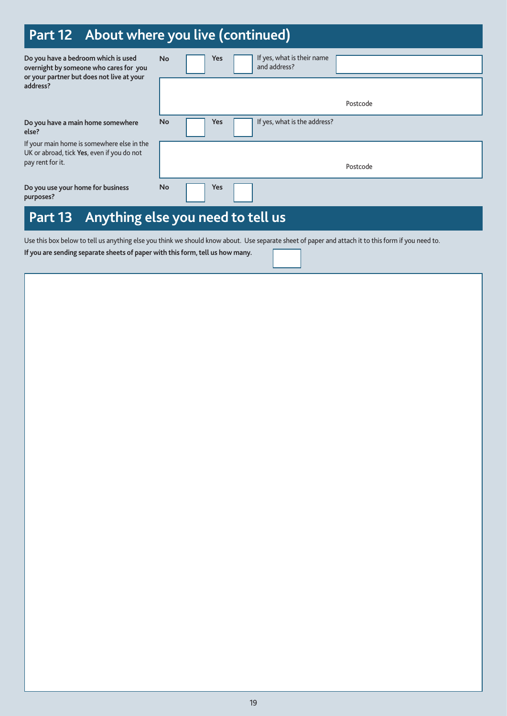## **Part 12 About where you live (continued)**

| Do you have a bedroom which is used<br>overnight by someone who cares for you<br>or your partner but does not live at your | <b>No</b> | <b>Yes</b> | If yes, what is their name<br>and address? |          |
|----------------------------------------------------------------------------------------------------------------------------|-----------|------------|--------------------------------------------|----------|
| address?                                                                                                                   |           |            |                                            |          |
|                                                                                                                            |           |            |                                            | Postcode |
| Do you have a main home somewhere<br>else?                                                                                 | <b>No</b> | <b>Yes</b> | If yes, what is the address?               |          |
| If your main home is somewhere else in the<br>UK or abroad, tick Yes, even if you do not                                   |           |            |                                            |          |
| pay rent for it.                                                                                                           |           |            |                                            | Postcode |
| Do you use your home for business<br>purposes?                                                                             | <b>No</b> | Yes        |                                            |          |
| Anything else you need to tell us<br>Part 13                                                                               |           |            |                                            |          |

Use this box below to tell us anything else you think we should know about. Use separate sheet of paper and attach it to this form if you need to.

**If you are sending separate sheets of paper with this form, tell us how many.**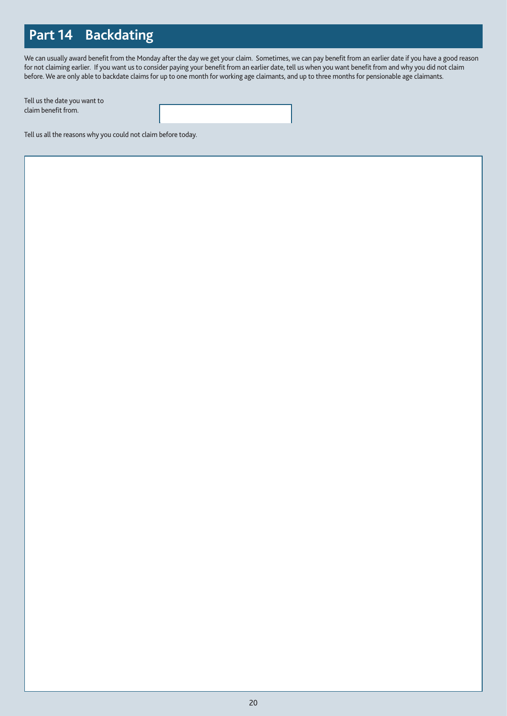## **Part 14 Backdating**

We can usually award benefit from the Monday after the day we get your claim. Sometimes, we can pay benefit from an earlier date if you have a good reason for not claiming earlier. If you want us to consider paying your benefit from an earlier date, tell us when you want benefit from and why you did not claim before. We are only able to backdate claims for up to one month for working age claimants, and up to three months for pensionable age claimants.

Tell us the date you want to claim benefit from.

Tell us all the reasons why you could not claim before today.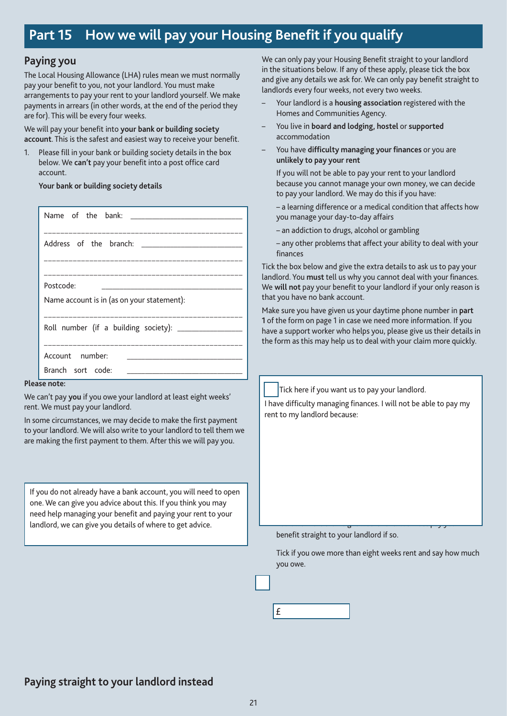### **Part 15 How we will pay your Housing Benefit if you qualify**

### **Paying you**

The Local Housing Allowance (LHA) rules mean we must normally pay your benefit to you, not your landlord. You must make arrangements to pay your rent to your landlord yourself. We make payments in arrears (in other words, at the end of the period they are for). This will be every four weeks.

We will pay your benefit into **your bank or building society account**. This is the safest and easiest way to receive your benefit.

1. Please fill in your bank or building society details in the box below. We **can't** pay your benefit into a post office card account.

#### **Your bank or building society details**

| Postcode:<br><u> 1980 - Johann John Stone, market fan it ferstjer fan it ferstjer fan it ferstjer fan it ferstjer fan it ferstj</u> |
|-------------------------------------------------------------------------------------------------------------------------------------|
| Name account is in (as on your statement):                                                                                          |
|                                                                                                                                     |
| Roll number (if a building society): ________________                                                                               |
|                                                                                                                                     |
|                                                                                                                                     |
| Account number:<br>the control of the control of the control of the                                                                 |
| Branch sort code:                                                                                                                   |

#### **Please note:**

We can't pay **you** if you owe your landlord at least eight weeks' rent. We must pay your landlord.

In some circumstances, we may decide to make the first payment to your landlord. We will also write to your landlord to tell them we are making the first payment to them. After this we will pay you.

If you do not already have a bank account, you will need to open one. We can give you advice about this. If you think you may need help managing your benefit and paying your rent to your landlord, we can give you details of where to get advice.

We can only pay your Housing Benefit straight to your landlord in the situations below. If any of these apply, please tick the box and give any details we ask for. We can only pay benefit straight to landlords every four weeks, not every two weeks.

- Your landlord is a **housing association** registered with the Homes and Communities Agency.
- You live in **board and lodging, hostel** or **supported** accommodation
- You have **difficulty managing your finances** or you are **unlikely to pay your rent**

If you will not be able to pay your rent to your landlord because you cannot manage your own money, we can decide to pay your landlord. We may do this if you have:

– a learning difference or a medical condition that affects how you manage your day-to-day affairs

- an addiction to drugs, alcohol or gambling
- any other problems that affect your ability to deal with your finances

Tick the box below and give the extra details to ask us to pay your landlord. You **must** tell us why you cannot deal with your finances. We **will not** pay your benefit to your landlord if your only reason is that you have no bank account.

Make sure you have given us your daytime phone number in **part 1** of the form on page 1 in case we need more information. If you have a support worker who helps you, please give us their details in the form as this may help us to deal with your claim more quickly.

Tick here if you want us to pay your landlord.

I have difficulty managing finances. I will not be able to pay my rent to my landlord because:

benefit straight to your landlord if so.

Tick if you owe more than eight weeks rent and say how much you owe.

– You owe more than eight weeks rent. We must pay your



### **Paying straight to your landlord instead**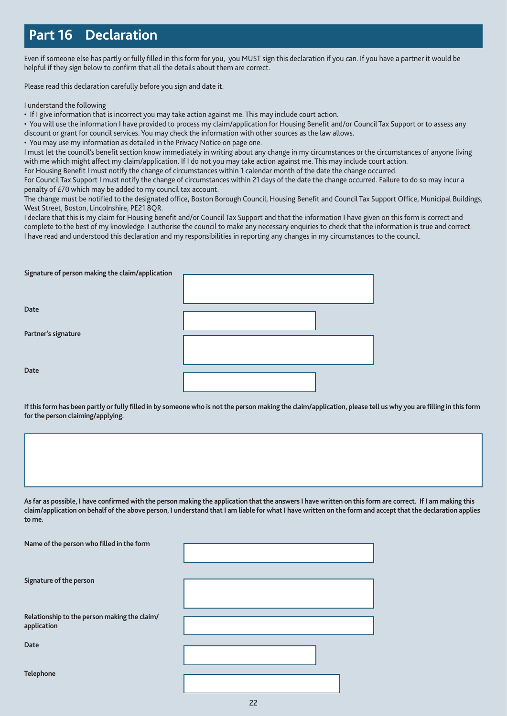## **Part 16 Declaration**

Even if someone else has partly or fully filled in this form for you, you MUST sign this declaration if you can. If you have a partner it would be helpful if they sign below to confirm that all the details about them are correct.

Please read this declaration carefully before you sign and date it.

I understand the following

• If I give information that is incorrect you may take action against me. This may include court action.

• You will use the information I have provided to process my claim/application for Housing Benefit and/or Council Tax Support or to assess any discount or grant for council services. You may check the information with other sources as the law allows.

• You may use my information as detailed in the Privacy Notice on page one.

I must let the council's benefit section know immediately in writing about any change in my circumstances or the circumstances of anyone living with me which might affect my claim/application. If I do not you may take action against me. This may include court action.

For Housing Benefit I must notify the change of circumstances within 1 calendar month of the date the change occurred.

For Council Tax Support I must notify the change of circumstances within 21 days of the date the change occurred. Failure to do so may incur a penalty of £70 which may be added to my council tax account.

The change must be notified to the designated office, Boston Borough Council, Housing Benefit and Council Tax Support Office, Municipal Buildings, West Street, Boston, Lincolnshire, PE21 8QR.

I declare that this is my claim for Housing benefit and/or Council Tax Support and that the information I have given on this form is correct and complete to the best of my knowledge. I authorise the council to make any necessary enquiries to check that the information is true and correct. I have read and understood this declaration and my responsibilities in reporting any changes in my circumstances to the council.

| Signature of person making the claim/application |  |  |  |  |  |
|--------------------------------------------------|--|--|--|--|--|
|                                                  |  |  |  |  |  |
|                                                  |  |  |  |  |  |
|                                                  |  |  |  |  |  |
| Date                                             |  |  |  |  |  |
|                                                  |  |  |  |  |  |
| Partner's signature                              |  |  |  |  |  |
|                                                  |  |  |  |  |  |
|                                                  |  |  |  |  |  |
|                                                  |  |  |  |  |  |
| Date                                             |  |  |  |  |  |
|                                                  |  |  |  |  |  |

**If this form has been partly or fully filled in by someone who is not the person making the claim/application, please tell us why you are filling in this form for the person claiming/applying.**

| As far as possible, I have confirmed with the person making the application that the answers I have written on this form are correct. If I am making this<br>claim/application on behalf of the above person, I understand that I am liable for what I have written on the form and accept that the declaration applies |
|-------------------------------------------------------------------------------------------------------------------------------------------------------------------------------------------------------------------------------------------------------------------------------------------------------------------------|
| to me.                                                                                                                                                                                                                                                                                                                  |

| Name of the person who filled in the form                   |  |
|-------------------------------------------------------------|--|
| Signature of the person                                     |  |
| Relationship to the person making the claim/<br>application |  |
| <b>Date</b>                                                 |  |
| Telephone                                                   |  |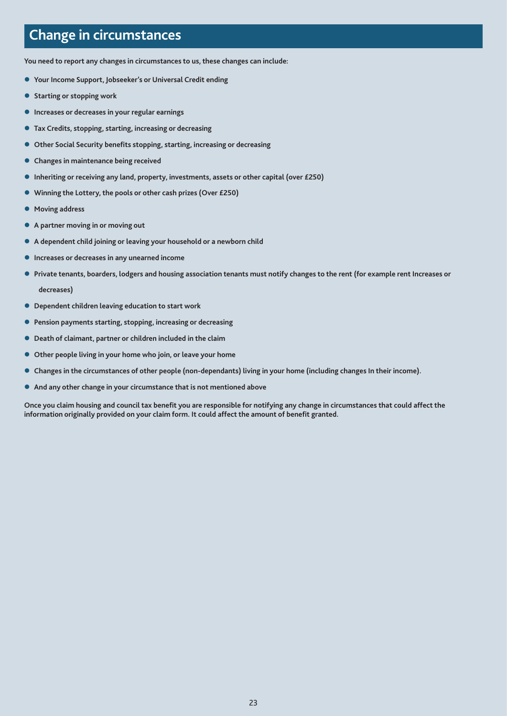### **Change in circumstances**

**You need to report any changes in circumstances to us, these changes can include:** 

- **Your Income Support, Jobseeker's or Universal Credit ending**
- **Starting or stopping work**
- **Increases or decreases in your regular earnings**
- **Tax Credits, stopping, starting, increasing or decreasing**
- **Other Social Security benefits stopping, starting, increasing or decreasing**
- **Changes in maintenance being received**
- **Inheriting or receiving any land, property, investments, assets or other capital (over £250)**
- **Winning the Lottery, the pools or other cash prizes (Over £250)**
- **Moving address**
- **A partner moving in or moving out**
- **A dependent child joining or leaving your household or a newborn child**
- **Increases or decreases in any unearned income**
- **Private tenants, boarders, lodgers and housing association tenants must notify changes to the rent (for example rent Increases or** 
	- **decreases)**
- **Dependent children leaving education to start work**
- **Pension payments starting, stopping, increasing or decreasing**
- **Death of claimant, partner or children included in the claim**
- **Other people living in your home who join, or leave your home**
- **Changes in the circumstances of other people (non-dependants) living in your home (including changes In their income).**
- **And any other change in your circumstance that is not mentioned above**

**Once you claim housing and council tax benefit you are responsible for notifying any change in circumstances that could affect the information originally provided on your claim form. It could affect the amount of benefit granted.**